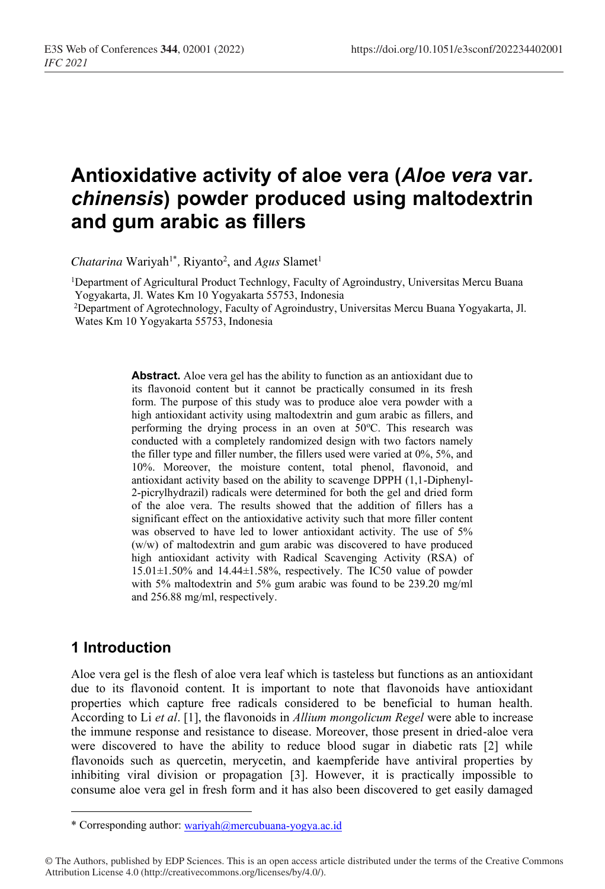# **Antioxidative activity of aloe vera (***Aloe vera* **var***. chinensis***) powder produced using maltodextrin and gum arabic as fillers**

*Chatarina* Wariyah<sup>1\*</sup>, Riyanto<sup>2</sup>, and *Agus* Slamet<sup>1</sup>

1Department of Agricultural Product Technlogy, Faculty of Agroindustry, Universitas Mercu Buana Yogyakarta, Jl. Wates Km 10 Yogyakarta 55753, Indonesia

2Department of Agrotechnology, Faculty of Agroindustry, Universitas Mercu Buana Yogyakarta, Jl. Wates Km 10 Yogyakarta 55753, Indonesia

> **Abstract.** Aloe vera gel has the ability to function as an antioxidant due to its flavonoid content but it cannot be practically consumed in its fresh form. The purpose of this study was to produce aloe vera powder with a high antioxidant activity using maltodextrin and gum arabic as fillers, and performing the drying process in an oven at 50°C. This research was conducted with a completely randomized design with two factors namely the filler type and filler number, the fillers used were varied at 0%, 5%, and 10%. Moreover, the moisture content, total phenol, flavonoid, and antioxidant activity based on the ability to scavenge DPPH (1,1-Diphenyl-2-picrylhydrazil) radicals were determined for both the gel and dried form of the aloe vera. The results showed that the addition of fillers has a significant effect on the antioxidative activity such that more filler content was observed to have led to lower antioxidant activity. The use of 5% (w/w) of maltodextrin and gum arabic was discovered to have produced high antioxidant activity with Radical Scavenging Activity (RSA) of 15.01±1.50% and 14.44±1.58%, respectively. The IC50 value of powder with 5% maltodextrin and 5% gum arabic was found to be 239.20 mg/ml and 256.88 mg/ml, respectively.

# **1 Introduction**

Aloe vera gel is the flesh of aloe vera leaf which is tasteless but functions as an antioxidant due to its flavonoid content. It is important to note that flavonoids have antioxidant properties which capture free radicals considered to be beneficial to human health. According to Li *et al*. [1], the flavonoids in *Allium mongolicum Regel* were able to increase the immune response and resistance to disease. Moreover, those present in dried-aloe vera were discovered to have the ability to reduce blood sugar in diabetic rats [2] while flavonoids such as quercetin, merycetin, and kaempferide have antiviral properties by inhibiting viral division or propagation [3]. However, it is practically impossible to consume aloe vera gel in fresh form and it has also been discovered to get easily damaged

<sup>\*</sup> Corresponding author: wariyah@mercubuana-yogya.ac.id

<sup>©</sup> The Authors, published by EDP Sciences. This is an open access article distributed under the terms of the Creative Commons Attribution License 4.0 (http://creativecommons.org/licenses/by/4.0/).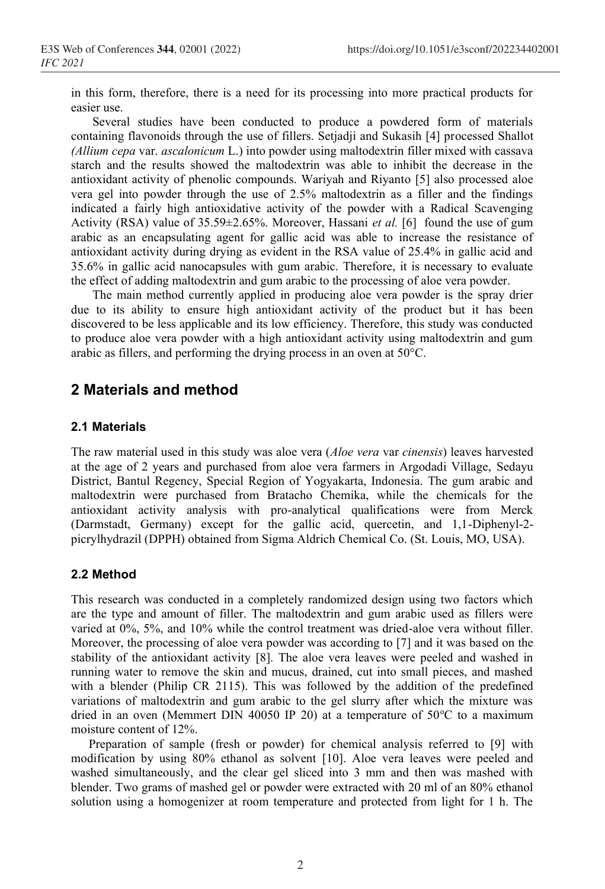in this form, therefore, there is a need for its processing into more practical products for easier use.

Several studies have been conducted to produce a powdered form of materials containing flavonoids through the use of fillers. Setjadji and Sukasih [4] processed Shallot *(Allium cepa* var. *ascalonicum* L.) into powder using maltodextrin filler mixed with cassava starch and the results showed the maltodextrin was able to inhibit the decrease in the antioxidant activity of phenolic compounds. Wariyah and Riyanto [5] also processed aloe vera gel into powder through the use of 2.5% maltodextrin as a filler and the findings indicated a fairly high antioxidative activity of the powder with a Radical Scavenging Activity (RSA) value of 35.59±2.65%. Moreover, Hassani *et al.* [6] found the use of gum arabic as an encapsulating agent for gallic acid was able to increase the resistance of antioxidant activity during drying as evident in the RSA value of 25.4% in gallic acid and 35.6% in gallic acid nanocapsules with gum arabic. Therefore, it is necessary to evaluate the effect of adding maltodextrin and gum arabic to the processing of aloe vera powder.

The main method currently applied in producing aloe vera powder is the spray drier due to its ability to ensure high antioxidant activity of the product but it has been discovered to be less applicable and its low efficiency. Therefore, this study was conducted to produce aloe vera powder with a high antioxidant activity using maltodextrin and gum arabic as fillers, and performing the drying process in an oven at 50°C.

# **2 Materials and method**

#### **2.1 Materials**

The raw material used in this study was aloe vera (*Aloe vera* var *cinensis*) leaves harvested at the age of 2 years and purchased from aloe vera farmers in Argodadi Village, Sedayu District, Bantul Regency, Special Region of Yogyakarta, Indonesia. The gum arabic and maltodextrin were purchased from Bratacho Chemika, while the chemicals for the antioxidant activity analysis with pro-analytical qualifications were from Merck (Darmstadt, Germany) except for the gallic acid, quercetin, and 1,1-Diphenyl-2 picrylhydrazil (DPPH) obtained from Sigma Aldrich Chemical Co. (St. Louis, MO, USA).

### **2.2 Method**

This research was conducted in a completely randomized design using two factors which are the type and amount of filler. The maltodextrin and gum arabic used as fillers were varied at 0%, 5%, and 10% while the control treatment was dried-aloe vera without filler. Moreover, the processing of aloe vera powder was according to [7] and it was based on the stability of the antioxidant activity [8]. The aloe vera leaves were peeled and washed in running water to remove the skin and mucus, drained, cut into small pieces, and mashed with a blender (Philip CR 2115). This was followed by the addition of the predefined variations of maltodextrin and gum arabic to the gel slurry after which the mixture was dried in an oven (Memmert DIN 40050 IP 20) at a temperature of  $50^{\circ}$ C to a maximum moisture content of 12%.

Preparation of sample (fresh or powder) for chemical analysis referred to [9] with modification by using 80% ethanol as solvent [10]. Aloe vera leaves were peeled and washed simultaneously, and the clear gel sliced into 3 mm and then was mashed with blender. Two grams of mashed gel or powder were extracted with 20 ml of an 80% ethanol solution using a homogenizer at room temperature and protected from light for 1 h. The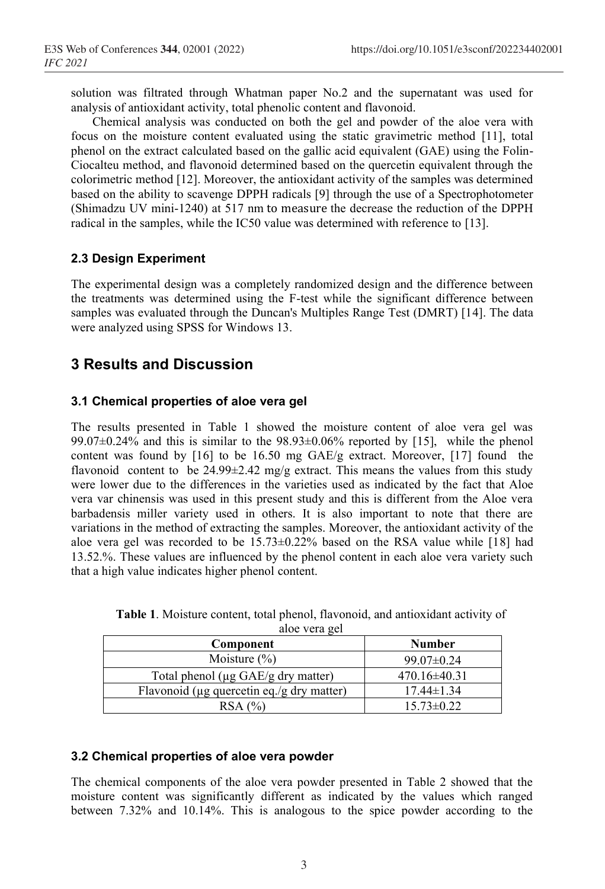solution was filtrated through Whatman paper No.2 and the supernatant was used for analysis of antioxidant activity, total phenolic content and flavonoid.

Chemical analysis was conducted on both the gel and powder of the aloe vera with focus on the moisture content evaluated using the static gravimetric method [11], total phenol on the extract calculated based on the gallic acid equivalent (GAE) using the Folin-Ciocalteu method, and flavonoid determined based on the quercetin equivalent through the colorimetric method [12]. Moreover, the antioxidant activity of the samples was determined based on the ability to scavenge DPPH radicals [9] through the use of a Spectrophotometer (Shimadzu UV mini-1240) at 517 nm to measure the decrease the reduction of the DPPH radical in the samples, while the IC50 value was determined with reference to [13].

### **2.3 Design Experiment**

The experimental design was a completely randomized design and the difference between the treatments was determined using the F-test while the significant difference between samples was evaluated through the Duncan's Multiples Range Test (DMRT) [14]. The data were analyzed using SPSS for Windows 13.

# **3 Results and Discussion**

### **3.1 Chemical properties of aloe vera gel**

The results presented in Table 1 showed the moisture content of aloe vera gel was  $99.07\pm0.24\%$  and this is similar to the  $98.93\pm0.06\%$  reported by [15], while the phenol content was found by  $[16]$  to be 16.50 mg GAE/g extract. Moreover,  $[17]$  found the flavonoid content to be  $24.99\pm2.42$  mg/g extract. This means the values from this study were lower due to the differences in the varieties used as indicated by the fact that Aloe vera var chinensis was used in this present study and this is different from the Aloe vera barbadensis miller variety used in others. It is also important to note that there are variations in the method of extracting the samples. Moreover, the antioxidant activity of the aloe vera gel was recorded to be  $15.73 \pm 0.22\%$  based on the RSA value while [18] had 13.52.%. These values are influenced by the phenol content in each aloe vera variety such that a high value indicates higher phenol content.

| $100 \times 10^{14}$                            |                  |  |  |  |
|-------------------------------------------------|------------------|--|--|--|
| Component                                       | <b>Number</b>    |  |  |  |
| Moisture $(\% )$                                | $99.07 \pm 0.24$ |  |  |  |
| Total phenol ( $\mu$ g GAE/g dry matter)        | $470.16\pm40.31$ |  |  |  |
| Flavonoid ( $\mu$ g quercetin eq./g dry matter) | $17.44 \pm 1.34$ |  |  |  |
| RSA (%)                                         | $15.73 \pm 0.22$ |  |  |  |

| Table 1. Moisture content, total phenol, flavonoid, and antioxidant activity of |               |  |  |
|---------------------------------------------------------------------------------|---------------|--|--|
|                                                                                 | aloe vera gel |  |  |

### **3.2 Chemical properties of aloe vera powder**

The chemical components of the aloe vera powder presented in Table 2 showed that the moisture content was significantly different as indicated by the values which ranged between 7.32% and 10.14%. This is analogous to the spice powder according to the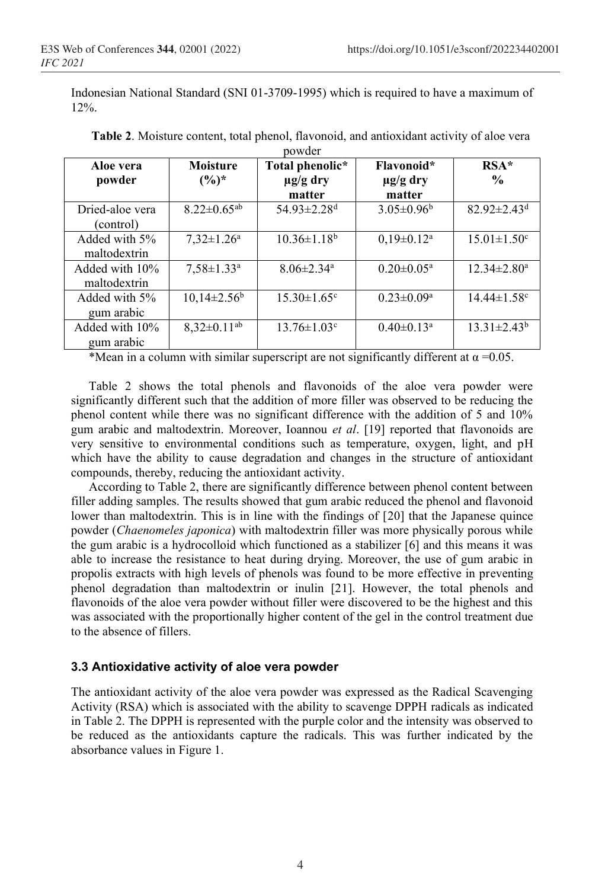Indonesian National Standard (SNI 01-3709-1995) which is required to have a maximum of 12%.

| Aloe vera       | <b>Moisture</b>               | Total phenolic*               | Flavonoid*                   | $RSA*$                        |
|-----------------|-------------------------------|-------------------------------|------------------------------|-------------------------------|
| powder          | $(\%)^*$                      | $\mu$ g/g dry                 | $\mu$ g/g dry                | $\frac{0}{0}$                 |
|                 |                               | matter                        | matter                       |                               |
| Dried-aloe vera | $8.22 \pm 0.65$ <sup>ab</sup> | 54.93 $\pm$ 2.28 <sup>d</sup> | $3.05 \pm 0.96^b$            | $82.92 \pm 2.43$ <sup>d</sup> |
| (control)       |                               |                               |                              |                               |
| Added with 5%   | $7,32 \pm 1.26^a$             | $10.36 \pm 1.18^b$            | $0,19\pm0.12^a$              | $15.01 \pm 1.50$ <sup>c</sup> |
| maltodextrin    |                               |                               |                              |                               |
| Added with 10%  | $7.58 \pm 1.33$ <sup>a</sup>  | $8.06 \pm 2.34$ <sup>a</sup>  | $0.20 \pm 0.05^{\text{a}}$   | $12.34 \pm 2.80^a$            |
| maltodextrin    |                               |                               |                              |                               |
| Added with 5%   | $10,14\pm2.56^{\circ}$        | $15.30 \pm 1.65$ <sup>c</sup> | $0.23 \pm 0.09^a$            | $14.44 \pm 1.58$ °            |
| gum arabic      |                               |                               |                              |                               |
| Added with 10%  | $8,32\pm0.11^{ab}$            | $13.76 \pm 1.03$ <sup>c</sup> | $0.40 \pm 0.13$ <sup>a</sup> | $13.31 \pm 2.43^b$            |
| gum arabic      |                               |                               |                              |                               |

**Table 2**. Moisture content, total phenol, flavonoid, and antioxidant activity of aloe vera powder

\*Mean in a column with similar superscript are not significantly different at  $\alpha = 0.05$ .

Table 2 shows the total phenols and flavonoids of the aloe vera powder were significantly different such that the addition of more filler was observed to be reducing the phenol content while there was no significant difference with the addition of 5 and 10% gum arabic and maltodextrin. Moreover, Ioannou *et al*. [19] reported that flavonoids are very sensitive to environmental conditions such as temperature, oxygen, light, and pH which have the ability to cause degradation and changes in the structure of antioxidant compounds, thereby, reducing the antioxidant activity.

According to Table 2, there are significantly difference between phenol content between filler adding samples. The results showed that gum arabic reduced the phenol and flavonoid lower than maltodextrin. This is in line with the findings of [20] that the Japanese quince powder (*Chaenomeles japonica*) with maltodextrin filler was more physically porous while the gum arabic is a hydrocolloid which functioned as a stabilizer [6] and this means it was able to increase the resistance to heat during drying. Moreover, the use of gum arabic in propolis extracts with high levels of phenols was found to be more effective in preventing phenol degradation than maltodextrin or inulin [21]. However, the total phenols and flavonoids of the aloe vera powder without filler were discovered to be the highest and this was associated with the proportionally higher content of the gel in the control treatment due to the absence of fillers.

### **3.3 Antioxidative activity of aloe vera powder**

The antioxidant activity of the aloe vera powder was expressed as the Radical Scavenging Activity (RSA) which is associated with the ability to scavenge DPPH radicals as indicated in Table 2. The DPPH is represented with the purple color and the intensity was observed to be reduced as the antioxidants capture the radicals. This was further indicated by the absorbance values in Figure 1.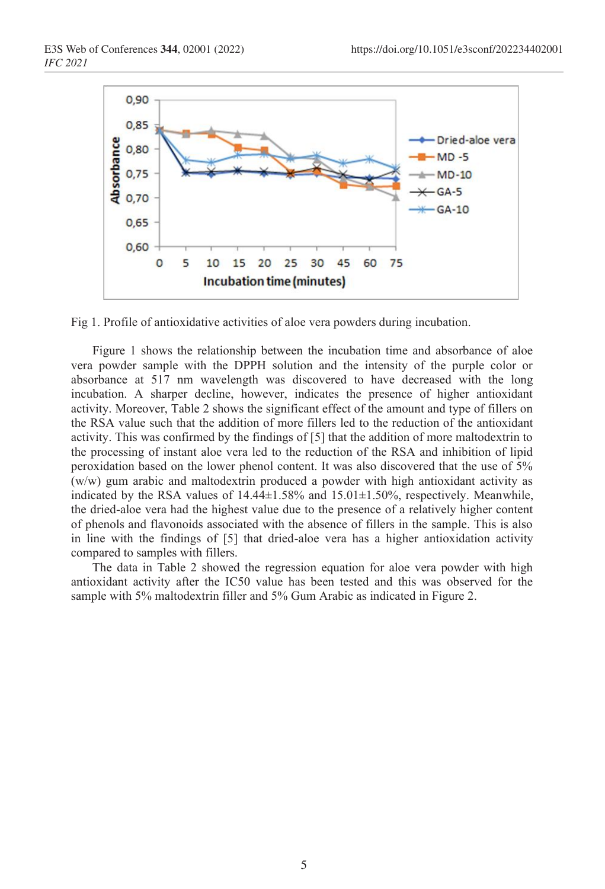

Fig 1. Profile of antioxidative activities of aloe vera powders during incubation.

Figure 1 shows the relationship between the incubation time and absorbance of aloe vera powder sample with the DPPH solution and the intensity of the purple color or absorbance at 517 nm wavelength was discovered to have decreased with the long incubation. A sharper decline, however, indicates the presence of higher antioxidant activity. Moreover, Table 2 shows the significant effect of the amount and type of fillers on the RSA value such that the addition of more fillers led to the reduction of the antioxidant activity. This was confirmed by the findings of [5] that the addition of more maltodextrin to the processing of instant aloe vera led to the reduction of the RSA and inhibition of lipid peroxidation based on the lower phenol content. It was also discovered that the use of 5% (w/w) gum arabic and maltodextrin produced a powder with high antioxidant activity as indicated by the RSA values of 14.44±1.58% and 15.01±1.50%, respectively. Meanwhile, the dried-aloe vera had the highest value due to the presence of a relatively higher content of phenols and flavonoids associated with the absence of fillers in the sample. This is also in line with the findings of [5] that dried-aloe vera has a higher antioxidation activity compared to samples with fillers.

The data in Table 2 showed the regression equation for aloe vera powder with high antioxidant activity after the IC50 value has been tested and this was observed for the sample with 5% maltodextrin filler and 5% Gum Arabic as indicated in Figure 2.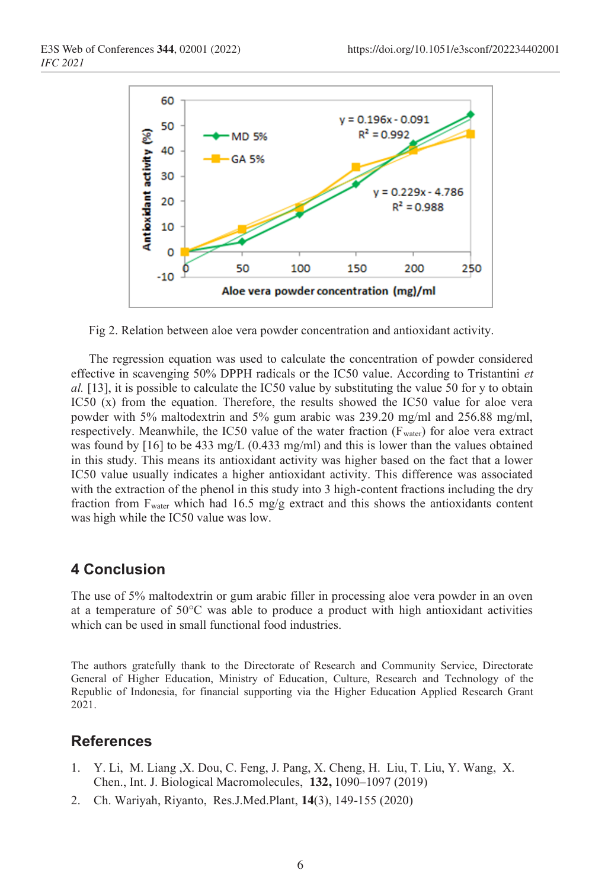

Fig 2. Relation between aloe vera powder concentration and antioxidant activity.

The regression equation was used to calculate the concentration of powder considered effective in scavenging 50% DPPH radicals or the IC50 value. According to Tristantini *et al.* [13], it is possible to calculate the IC50 value by substituting the value 50 for y to obtain IC50 (x) from the equation. Therefore, the results showed the IC50 value for aloe vera powder with 5% maltodextrin and 5% gum arabic was 239.20 mg/ml and 256.88 mg/ml, respectively. Meanwhile, the IC50 value of the water fraction (Fwater) for aloe vera extract was found by [16] to be 433 mg/L (0.433 mg/ml) and this is lower than the values obtained in this study. This means its antioxidant activity was higher based on the fact that a lower IC50 value usually indicates a higher antioxidant activity. This difference was associated with the extraction of the phenol in this study into 3 high-content fractions including the dry fraction from  $F_{\text{water}}$  which had 16.5 mg/g extract and this shows the antioxidants content was high while the IC50 value was low.

### **4 Conclusion**

The use of 5% maltodextrin or gum arabic filler in processing aloe vera powder in an oven at a temperature of  $50^{\circ}$ C was able to produce a product with high antioxidant activities which can be used in small functional food industries.

The authors gratefully thank to the Directorate of Research and Community Service, Directorate General of Higher Education, Ministry of Education, Culture, Research and Technology of the Republic of Indonesia, for financial supporting via the Higher Education Applied Research Grant 2021.

## **References**

- 1. Y. Li, M. Liang ,X. Dou, C. Feng, J. Pang, X. Cheng, H. Liu, T. Liu, Y. Wang, X. Chen., Int. J. Biological Macromolecules, **132,** 1090–1097 (2019)
- 2. Ch. Wariyah, Riyanto, Res.J.Med.Plant, **14**(3), 149-155 (2020)